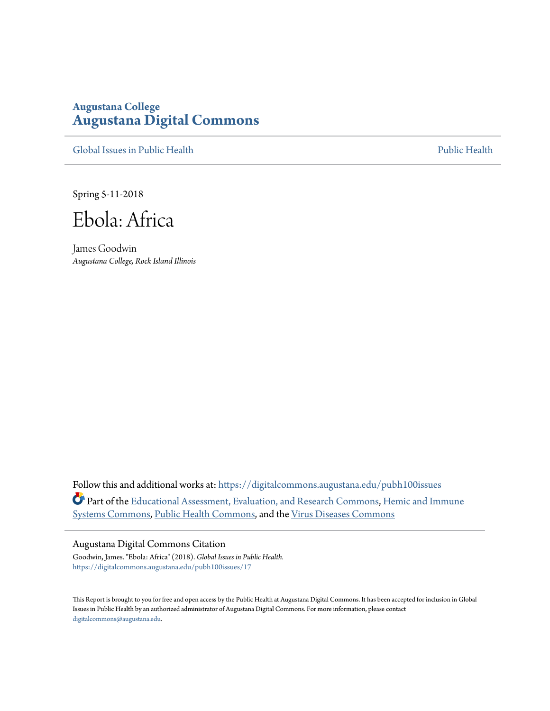# **Augustana College [Augustana Digital Commons](https://digitalcommons.augustana.edu?utm_source=digitalcommons.augustana.edu%2Fpubh100issues%2F17&utm_medium=PDF&utm_campaign=PDFCoverPages)**

[Global Issues in Public Health](https://digitalcommons.augustana.edu/pubh100issues?utm_source=digitalcommons.augustana.edu%2Fpubh100issues%2F17&utm_medium=PDF&utm_campaign=PDFCoverPages) [Public Health](https://digitalcommons.augustana.edu/publichealth?utm_source=digitalcommons.augustana.edu%2Fpubh100issues%2F17&utm_medium=PDF&utm_campaign=PDFCoverPages) Public Health Public Health Public Health

Spring 5-11-2018

Ebola: Africa

James Goodwin *Augustana College, Rock Island Illinois*

Follow this and additional works at: [https://digitalcommons.augustana.edu/pubh100issues](https://digitalcommons.augustana.edu/pubh100issues?utm_source=digitalcommons.augustana.edu%2Fpubh100issues%2F17&utm_medium=PDF&utm_campaign=PDFCoverPages) Part of the [Educational Assessment, Evaluation, and Research Commons,](http://network.bepress.com/hgg/discipline/796?utm_source=digitalcommons.augustana.edu%2Fpubh100issues%2F17&utm_medium=PDF&utm_campaign=PDFCoverPages) [Hemic and Immune](http://network.bepress.com/hgg/discipline/948?utm_source=digitalcommons.augustana.edu%2Fpubh100issues%2F17&utm_medium=PDF&utm_campaign=PDFCoverPages) [Systems Commons](http://network.bepress.com/hgg/discipline/948?utm_source=digitalcommons.augustana.edu%2Fpubh100issues%2F17&utm_medium=PDF&utm_campaign=PDFCoverPages), [Public Health Commons,](http://network.bepress.com/hgg/discipline/738?utm_source=digitalcommons.augustana.edu%2Fpubh100issues%2F17&utm_medium=PDF&utm_campaign=PDFCoverPages) and the [Virus Diseases Commons](http://network.bepress.com/hgg/discipline/998?utm_source=digitalcommons.augustana.edu%2Fpubh100issues%2F17&utm_medium=PDF&utm_campaign=PDFCoverPages)

#### Augustana Digital Commons Citation

Goodwin, James. "Ebola: Africa" (2018). *Global Issues in Public Health.* [https://digitalcommons.augustana.edu/pubh100issues/17](https://digitalcommons.augustana.edu/pubh100issues/17?utm_source=digitalcommons.augustana.edu%2Fpubh100issues%2F17&utm_medium=PDF&utm_campaign=PDFCoverPages)

This Report is brought to you for free and open access by the Public Health at Augustana Digital Commons. It has been accepted for inclusion in Global Issues in Public Health by an authorized administrator of Augustana Digital Commons. For more information, please contact [digitalcommons@augustana.edu.](mailto:digitalcommons@augustana.edu)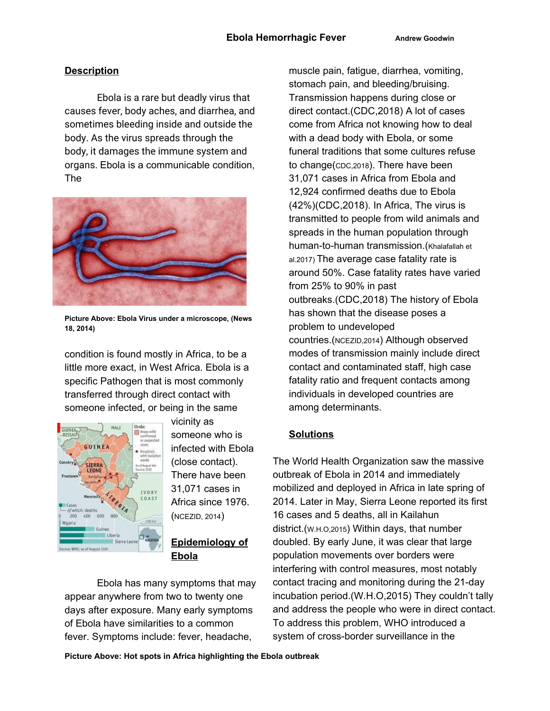### **Description**

Ebola is a rare but deadly virus that causes fever, body aches, and diarrhea, and sometimes bleeding inside and outside the body. As the virus spreads through the body, it damages the immune system and organs. Ebola is a communicable condition, The



**Picture Above: Ebola Virus under a microscope, (News 18, 2014)**

condition is found mostly in Africa, to be a little more exact, in West Africa. Ebola is a specific Pathogen that is most commonly transferred through direct contact with someone infected, or being in the same



vicinity as someone who is infected with Ebola (close contact). There have been 31,071 cases in Africa since 1976. (NCEZID, 2014)

### **Epidemiology of Ebola**

Ebola has many symptoms that may appear anywhere from two to twenty one days after exposure. Many early symptoms of Ebola have similarities to a common fever. Symptoms include: fever, headache,

muscle pain, fatigue, diarrhea, vomiting, stomach pain, and bleeding/bruising. Transmission happens during close or direct contact.(CDC,2018) A lot of cases come from Africa not knowing how to deal with a dead body with Ebola, or some funeral traditions that some cultures refuse to change(CDC,2018). There have been 31,071 cases in Africa from Ebola and 12,924 confirmed deaths due to Ebola (42%)(CDC,2018). In Africa, The virus is transmitted to people from wild animals and spreads in the human population through human-to-human transmission.(Khalafallah et al.2017) The average case fatality rate is around 50%. Case fatality rates have varied from 25% to 90% in past outbreaks.(CDC,2018) The history of Ebola has shown that the disease poses a problem to undeveloped countries.(NCEZID,2014) Although observed modes of transmission mainly include direct contact and contaminated staff, high case fatality ratio and frequent contacts among individuals in developed countries are among determinants.

## **Solutions**

The World Health Organization saw the massive outbreak of Ebola in 2014 and immediately mobilized and deployed in Africa in late spring of 2014. Later in May, Sierra Leone reported its first 16 cases and 5 deaths, all in Kailahun district.(W.H.O,2015) Within days, that number doubled. By early June, it was clear that large population movements over borders were interfering with control measures, most notably contact tracing and monitoring during the 21-day incubation period.(W.H.O,2015) They couldn't tally and address the people who were in direct contact. To address this problem, WHO introduced a system of cross-border surveillance in the

**Picture Above: Hot spots in Africa highlighting the Ebola outbreak**